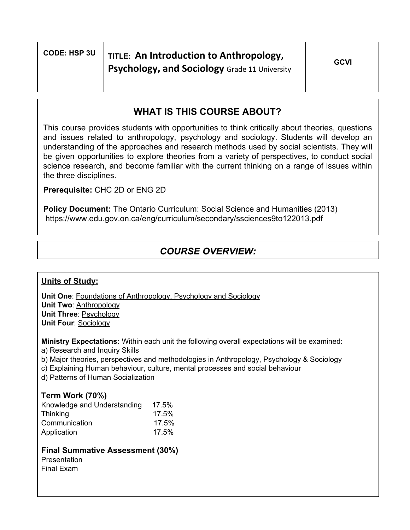## **WHAT IS THIS COURSE ABOUT?**

This course provides students with opportunities to think critically about theories, questions and issues related to anthropology, psychology and sociology. Students will develop an understanding of the approaches and research methods used by social scientists. They will be given opportunities to explore theories from a variety of perspectives, to conduct social science research, and become familiar with the current thinking on a range of issues within the three disciplines.

**Prerequisite:** CHC 2D or ENG 2D

**Policy Document:** The Ontario Curriculum: Social Science and Humanities (2013) https://www.edu.gov.on.ca/eng/curriculum/secondary/ssciences9to122013.pdf

# *COURSE OVERVIEW:*

#### **Units of Study:**

**Unit One**: Foundations of Anthropology, Psychology and Sociology **Unit Two**: Anthropology **Unit Three**: Psychology **Unit Four**: Sociology

**Ministry Expectations:** Within each unit the following overall expectations will be examined: a) Research and Inquiry Skills

- b) Major theories, perspectives and methodologies in Anthropology, Psychology & Sociology
- c) Explaining Human behaviour, culture, mental processes and social behaviour

d) Patterns of Human Socialization

#### **Term Work (70%)**

| Knowledge and Understanding | 17.5% |
|-----------------------------|-------|
| Thinking                    | 17.5% |
| Communication               | 17.5% |
| Application                 | 17.5% |

### **Final Summative Assessment (30%)**

**Presentation** Final Exam